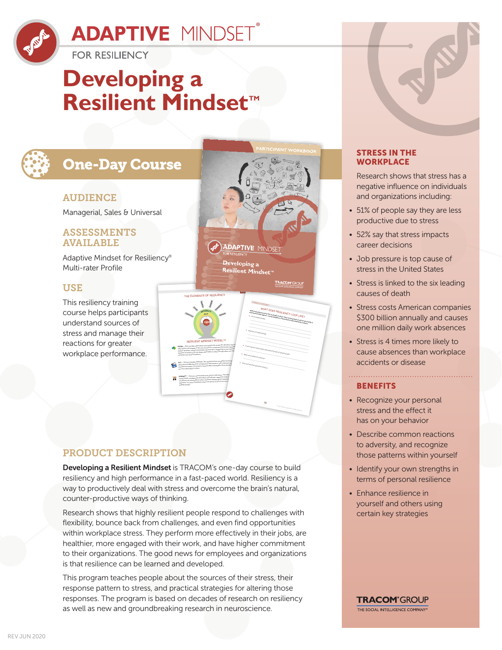



**FOR RESILIENCY** 

# **Developing a Resilient Mindset™**

# One-Day Course

## AUDIENCE

Managerial, Sales & Universal

### ASSESSMENTS AVAILABLE

Adaptive Mindset for Resiliency® Multi-rater Profile

## **USE**

This resiliency training course helps participants understand sources of stress and manage their reactions for greater workplace performance.



<sup>n</sup> What is your slogan for resiliency?

<sup>n</sup> Draw a picture that represents resiliency.

 $\mathbf{D}$  the TRACOM Computation, All Rights Reserved.

\_\_\_\_\_\_\_\_\_\_\_\_\_\_\_\_\_\_\_\_\_\_\_\_\_\_\_\_\_\_\_\_\_\_\_\_\_\_\_\_\_\_\_\_\_\_\_\_\_\_\_\_\_\_\_\_\_\_\_\_\_\_\_\_\_\_\_\_\_\_\_\_\_\_\_\_\_\_\_\_\_ The design of the second of the company of the company of the company of the company of the company of the company of the company of the company of the company of the company of the company of the company of the company of <sup>n</sup> In your opinion, what song(s) represent(s) the traits of resilient people? .<br>But is your shopper for realized any your contracts in the first residence of processes

here a prince that receive your process and supply the company of the company of the company of the company of

## PRODUCT DESCRIPTION

Developing a Resilient Mindset is TRACOM's one-day course to build resiliency and high performance in a fast-paced world. Resiliency is a way to productively deal with stress and overcome the brain's natural, counter-productive ways of thinking.

RESILIENT MINDSET MODEL™ pl**iLTER** — Hi*ghr you* fifter information and interpret the world. This describes how ye<br>Information and integrays it into your mind and is comprised of personal supportib<br>malaisc optimizer, and personal bajark. Because t

**ACT** — How you handle challenges. This represents how you behave and resp!<br>advenity and difficulty and is composed of self-asketance, self-composure, p!!<br>and goal crientation, is contrast to how you filter information, th

**INTERACT** — How you communicate and connect with others. This infer<br>communicate courageously with character and culture supportive militate<br>of restance are observable to others) however, feelings about supportive<br>subject

recognize your level of optimism.

are more observable to others.

multiple people.

Research shows that highly resilient people respond to challenges with flexibility, bounce back from challenges, and even find opportunities within workplace stress. They perform more effectively in their jobs, are healthier, more engaged with their work, and have higher commitment to their organizations. The good news for employees and organizations is that resilience can be learned and developed.

This program teaches people about the sources of their stress, their response pattern to stress, and practical strategies for altering those responses. The program is based on decades of research on resiliency as well as new and groundbreaking research in neuroscience.

#### STRESS IN THE **WORKPLACE**

Research shows that stress has a negative influence on individuals and organizations including:

- 51% of people say they are less productive due to stress
- 52% say that stress impacts career decisions
- Job pressure is top cause of stress in the United States
- Stress is linked to the six leading causes of death
- Stress costs American companies \$300 billion annually and causes one million daily work absences
- Stress is 4 times more likely to cause absences than workplace accidents or disease

### **BENEFITS**

• Recognize your personal stress and the effect it has on your behavior

- Describe common reactions to adversity, and recognize those patterns within yourself
- Identify your own strengths in terms of personal resilience
- Enhance resilience in yourself and others using certain key strategies

**TRACOM**<sup>®</sup>GROUP THE SOCIAL INTELLIGENCE COMPANY®